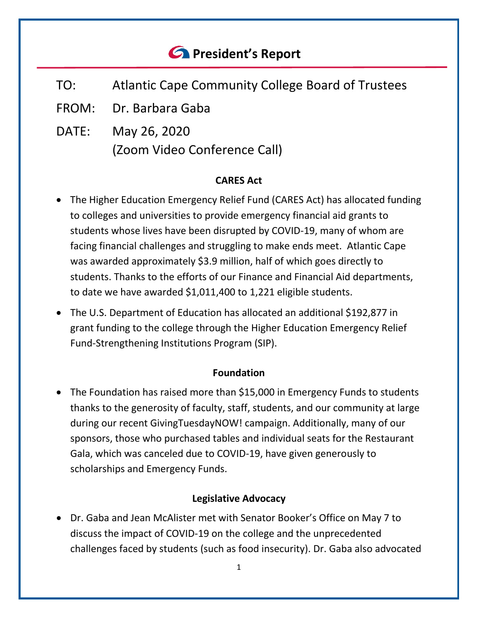# *<u>C* President's Report</u>

- TO: Atlantic Cape Community College Board of Trustees
- FROM: Dr. Barbara Gaba
- DATE: May 26, 2020 (Zoom Video Conference Call)

## **CARES Act**

- The Higher Education Emergency Relief Fund (CARES Act) has allocated funding to colleges and universities to provide emergency financial aid grants to students whose lives have been disrupted by COVID-19, many of whom are facing financial challenges and struggling to make ends meet. Atlantic Cape was awarded approximately \$3.9 million, half of which goes directly to students. Thanks to the efforts of our Finance and Financial Aid departments, to date we have awarded \$1,011,400 to 1,221 eligible students.
- The U.S. Department of Education has allocated an additional \$192,877 in grant funding to the college through the Higher Education Emergency Relief Fund-Strengthening Institutions Program (SIP).

## **Foundation**

• The Foundation has raised more than \$15,000 in Emergency Funds to students thanks to the generosity of faculty, staff, students, and our community at large during our recent GivingTuesdayNOW! campaign. Additionally, many of our sponsors, those who purchased tables and individual seats for the Restaurant Gala, which was canceled due to COVID-19, have given generously to scholarships and Emergency Funds.

## **Legislative Advocacy**

• Dr. Gaba and Jean McAlister met with Senator Booker's Office on May 7 to discuss the impact of COVID-19 on the college and the unprecedented challenges faced by students (such as food insecurity). Dr. Gaba also advocated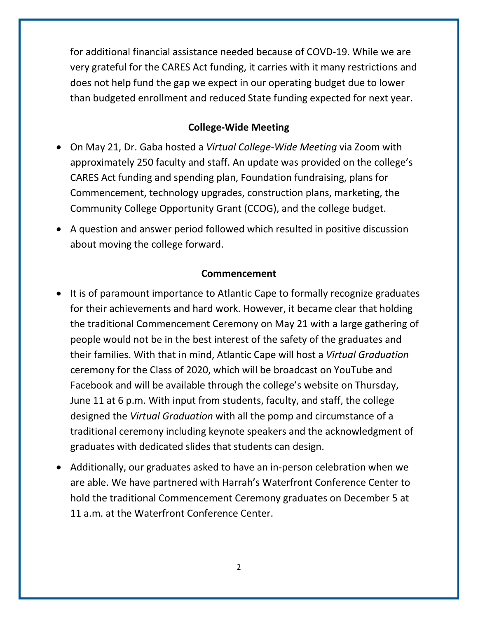for additional financial assistance needed because of COVD-19. While we are very grateful for the CARES Act funding, it carries with it many restrictions and does not help fund the gap we expect in our operating budget due to lower than budgeted enrollment and reduced State funding expected for next year.

#### **College-Wide Meeting**

- On May 21, Dr. Gaba hosted a *Virtual College-Wide Meeting* via Zoom with approximately 250 faculty and staff. An update was provided on the college's CARES Act funding and spending plan, Foundation fundraising, plans for Commencement, technology upgrades, construction plans, marketing, the Community College Opportunity Grant (CCOG), and the college budget.
- A question and answer period followed which resulted in positive discussion about moving the college forward.

#### **Commencement**

- It is of paramount importance to Atlantic Cape to formally recognize graduates for their achievements and hard work. However, it became clear that holding the traditional Commencement Ceremony on May 21 with a large gathering of people would not be in the best interest of the safety of the graduates and their families. With that in mind, Atlantic Cape will host a *Virtual Graduation* ceremony for the Class of 2020, which will be broadcast on YouTube and Facebook and will be available through the college's website on Thursday, June 11 at 6 p.m. With input from students, faculty, and staff, the college designed the *Virtual Graduation* with all the pomp and circumstance of a traditional ceremony including keynote speakers and the acknowledgment of graduates with dedicated slides that students can design.
- Additionally, our graduates asked to have an in-person celebration when we are able. We have partnered with Harrah's Waterfront Conference Center to hold the traditional Commencement Ceremony graduates on December 5 at 11 a.m. at the Waterfront Conference Center.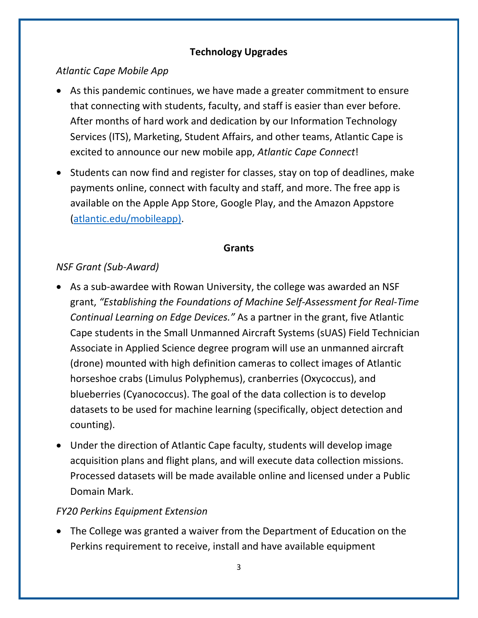# **Technology Upgrades**

# *Atlantic Cape Mobile App*

- As this pandemic continues, we have made a greater commitment to ensure that connecting with students, faculty, and staff is easier than ever before. After months of hard work and dedication by our Information Technology Services (ITS), Marketing, Student Affairs, and other teams, Atlantic Cape is excited to announce our new mobile app, *Atlantic Cape Connect*!
- Students can now find and register for classes, stay on top of deadlines, make payments online, connect with faculty and staff, and more. The free app is available on the Apple App Store, Google Play, and the Amazon Appstore [\(atlantic.edu/mobileapp\)](http://www.atlantic.edu/mobileapp/).

#### **Grants**

# *NSF Grant (Sub-Award)*

- As a sub-awardee with Rowan University, the college was awarded an NSF grant, *"Establishing the Foundations of Machine Self-Assessment for Real-Time Continual Learning on Edge Devices."* As a partner in the grant, five Atlantic Cape students in the Small Unmanned Aircraft Systems (sUAS) Field Technician Associate in Applied Science degree program will use an unmanned aircraft (drone) mounted with high definition cameras to collect images of Atlantic horseshoe crabs (Limulus Polyphemus), cranberries (Oxycoccus), and blueberries (Cyanococcus). The goal of the data collection is to develop datasets to be used for machine learning (specifically, object detection and counting).
- Under the direction of Atlantic Cape faculty, students will develop image acquisition plans and flight plans, and will execute data collection missions. Processed datasets will be made available online and licensed under a Public Domain Mark.

# *FY20 Perkins Equipment Extension*

• The College was granted a waiver from the Department of Education on the Perkins requirement to receive, install and have available equipment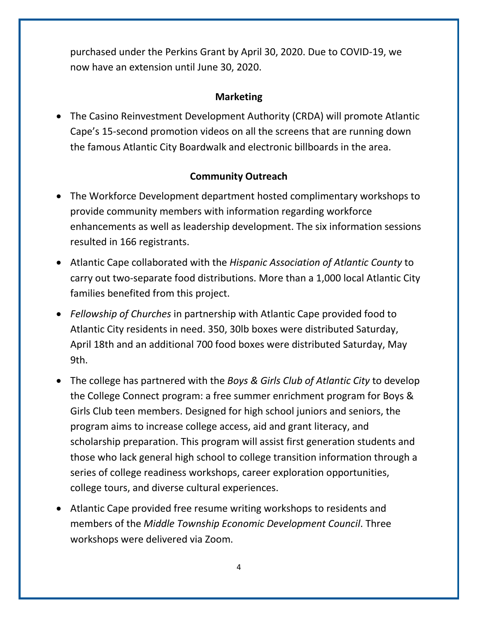purchased under the Perkins Grant by April 30, 2020. Due to COVID-19, we now have an extension until June 30, 2020.

## **Marketing**

• The Casino Reinvestment Development Authority (CRDA) will promote Atlantic Cape's 15-second promotion videos on all the screens that are running down the famous Atlantic City Boardwalk and electronic billboards in the area.

# **Community Outreach**

- The Workforce Development department hosted complimentary workshops to provide community members with information regarding workforce enhancements as well as leadership development. The six information sessions resulted in 166 registrants.
- Atlantic Cape collaborated with the *Hispanic Association of Atlantic County* to carry out two-separate food distributions. More than a 1,000 local Atlantic City families benefited from this project.
- *Fellowship of Churches* in partnership with Atlantic Cape provided food to Atlantic City residents in need. 350, 30lb boxes were distributed Saturday, April 18th and an additional 700 food boxes were distributed Saturday, May 9th.
- The college has partnered with the *Boys & Girls Club of Atlantic City* to develop the College Connect program: a free summer enrichment program for Boys & Girls Club teen members. Designed for high school juniors and seniors, the program aims to increase college access, aid and grant literacy, and scholarship preparation. This program will assist first generation students and those who lack general high school to college transition information through a series of college readiness workshops, career exploration opportunities, college tours, and diverse cultural experiences.
- Atlantic Cape provided free resume writing workshops to residents and members of the *Middle Township Economic Development Council*. Three workshops were delivered via Zoom.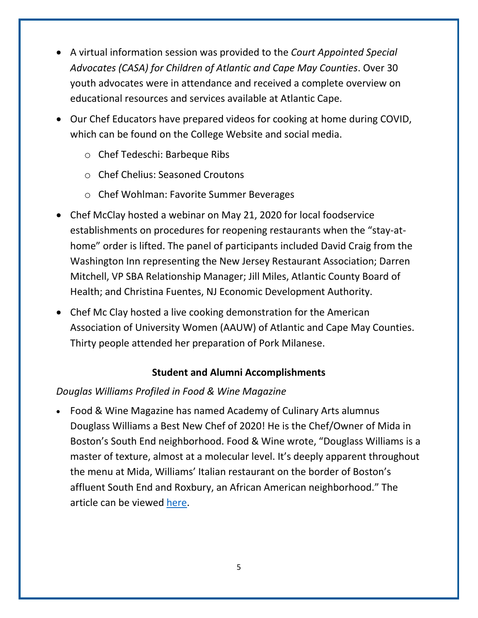- A virtual information session was provided to the *Court Appointed Special Advocates (CASA) for Children of Atlantic and Cape May Counties*. Over 30 youth advocates were in attendance and received a complete overview on educational resources and services available at Atlantic Cape.
- Our Chef Educators have prepared videos for cooking at home during COVID, which can be found on the College Website and social media.
	- o Chef Tedeschi: Barbeque Ribs
	- o Chef Chelius: Seasoned Croutons
	- o Chef Wohlman: Favorite Summer Beverages
- Chef McClay hosted a webinar on May 21, 2020 for local foodservice establishments on procedures for reopening restaurants when the "stay-athome" order is lifted. The panel of participants included David Craig from the Washington Inn representing the New Jersey Restaurant Association; Darren Mitchell, VP SBA Relationship Manager; Jill Miles, Atlantic County Board of Health; and Christina Fuentes, NJ Economic Development Authority.
- Chef Mc Clay hosted a live cooking demonstration for the American Association of University Women (AAUW) of Atlantic and Cape May Counties. Thirty people attended her preparation of Pork Milanese.

## **Student and Alumni Accomplishments**

## *Douglas Williams Profiled in Food & Wine Magazine*

• Food & Wine Magazine has named Academy of Culinary Arts alumnus Douglass Williams a Best New Chef of 2020! He is the Chef/Owner of Mida in Boston's South End neighborhood. Food & Wine wrote, "Douglass Williams is a master of texture, almost at a molecular level. It's deeply apparent throughout the menu at Mida, Williams' Italian restaurant on the border of Boston's affluent South End and Roxbury, an African American neighborhood." The article can be viewed [here.](https://www.foodandwine.com/chefs/best-new-chefs-2020-douglass-williams)